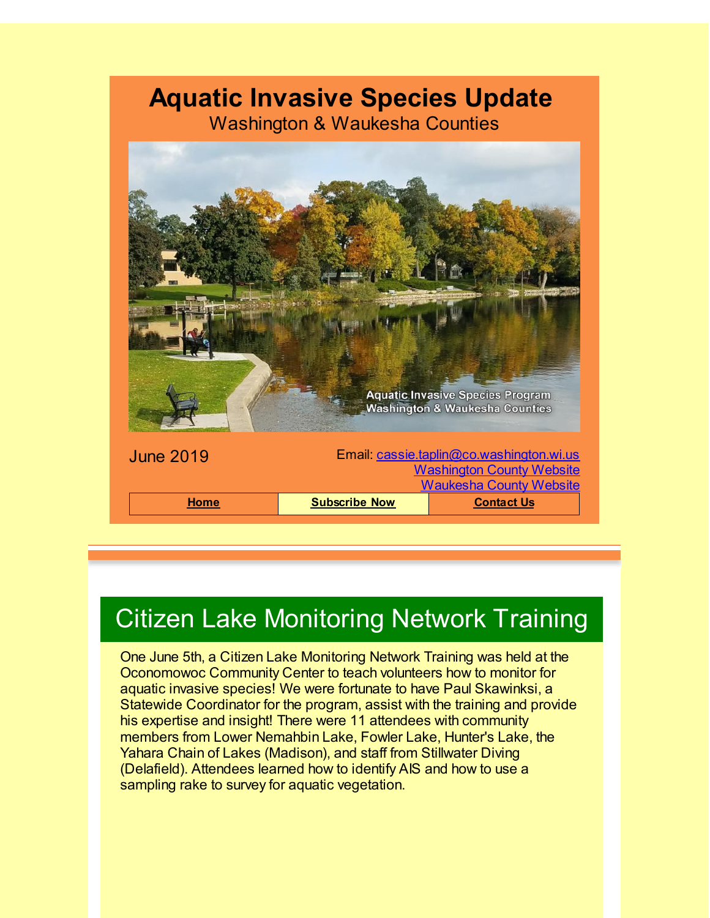#### **Aquatic Invasive Species Update**

Washington & Waukesha Counties



# Citizen Lake Monitoring Network Training

One June 5th, a Citizen Lake Monitoring Network Training was held at the Oconomowoc Community Center to teach volunteers how to monitor for aquatic invasive species! We were fortunate to have Paul Skawinksi, a Statewide Coordinator for the program, assist with the training and provide his expertise and insight! There were 11 attendees with community members from Lower Nemahbin Lake, Fowler Lake, Hunter's Lake, the Yahara Chain of Lakes (Madison), and staff from Stillwater Diving (Delafield). Attendees learned how to identify AIS and how to use a sampling rake to survey for aquatic vegetation.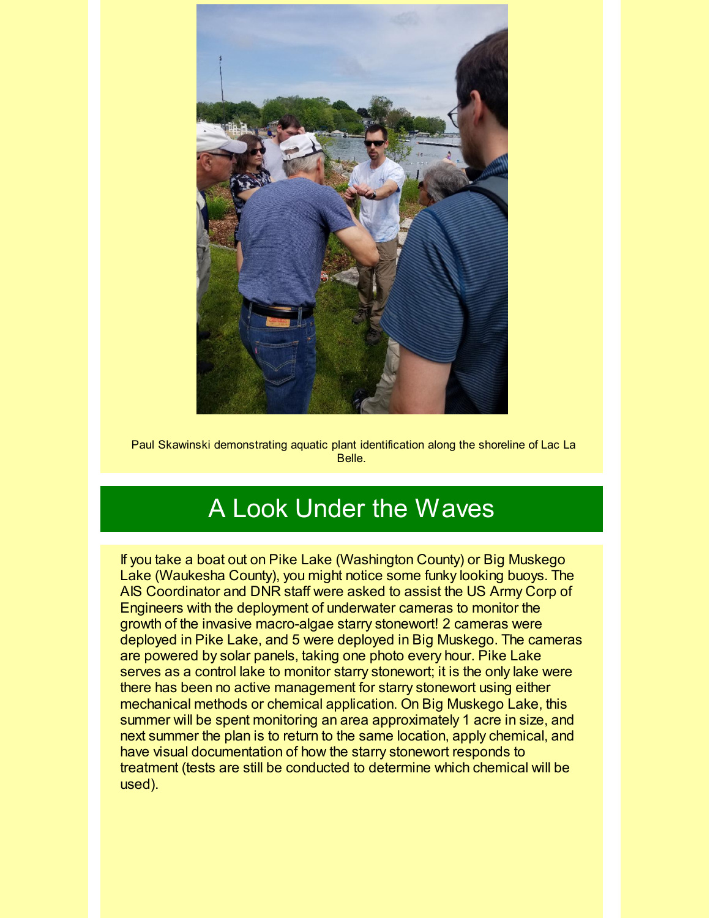

Paul Skawinski demonstrating aquatic plant identification along the shoreline of Lac La Belle.

## A Look Under the Waves

If you take a boat out on Pike Lake (Washington County) or Big Muskego Lake (Waukesha County), you might notice some funky looking buoys. The AIS Coordinator and DNR staff were asked to assist the US Army Corp of Engineers with the deployment of underwater cameras to monitor the growth of the invasive macro-algae starry stonewort! 2 cameras were deployed in Pike Lake, and 5 were deployed in Big Muskego. The cameras are powered by solar panels, taking one photo every hour. Pike Lake serves as a control lake to monitor starry stonewort; it is the only lake were there has been no active management for starry stonewort using either mechanical methods or chemical application. On Big Muskego Lake, this summer will be spent monitoring an area approximately 1 acre in size, and next summer the plan is to return to the same location, apply chemical, and have visual documentation of how the starry stonewort responds to treatment (tests are still be conducted to determine which chemical will be used).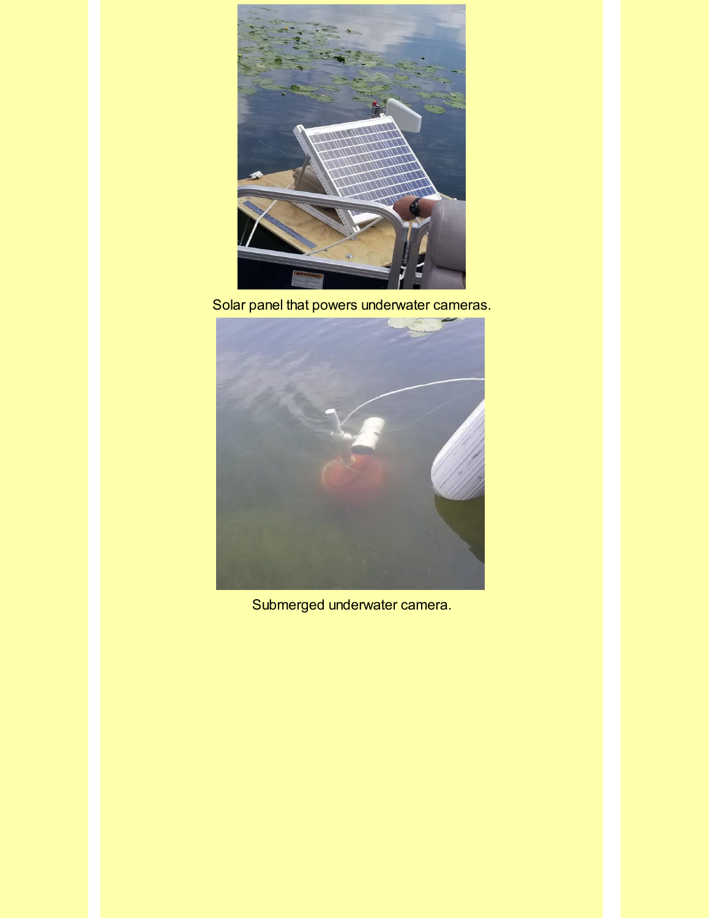

Solar panel that powers underwater cameras.



Submerged underwater camera.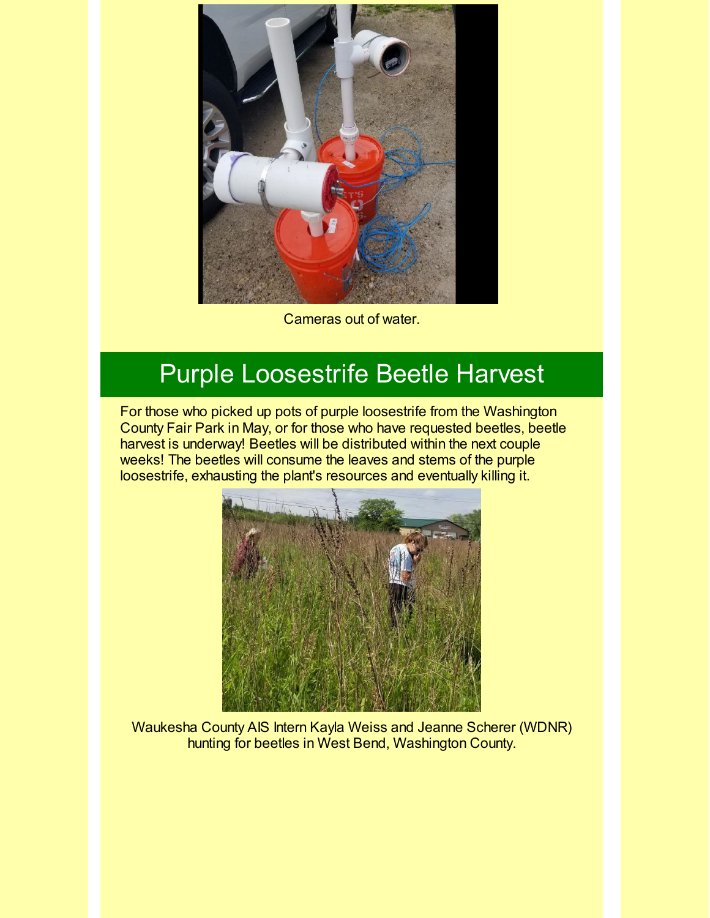

Cameras out of water.

## Purple Loosestrife Beetle Harvest

For those who picked up pots of purple loosestrife from the Washington County Fair Park in May, or for those who have requested beetles, beetle harvest is underway! Beetles will be distributed within the next couple weeks! The beetles will consume the leaves and stems of the purple loosestrife, exhausting the plant's resources and eventually killing it.



Waukesha County AIS Intern Kayla Weiss and Jeanne Scherer (WDNR) hunting for beetles in West Bend, Washington County.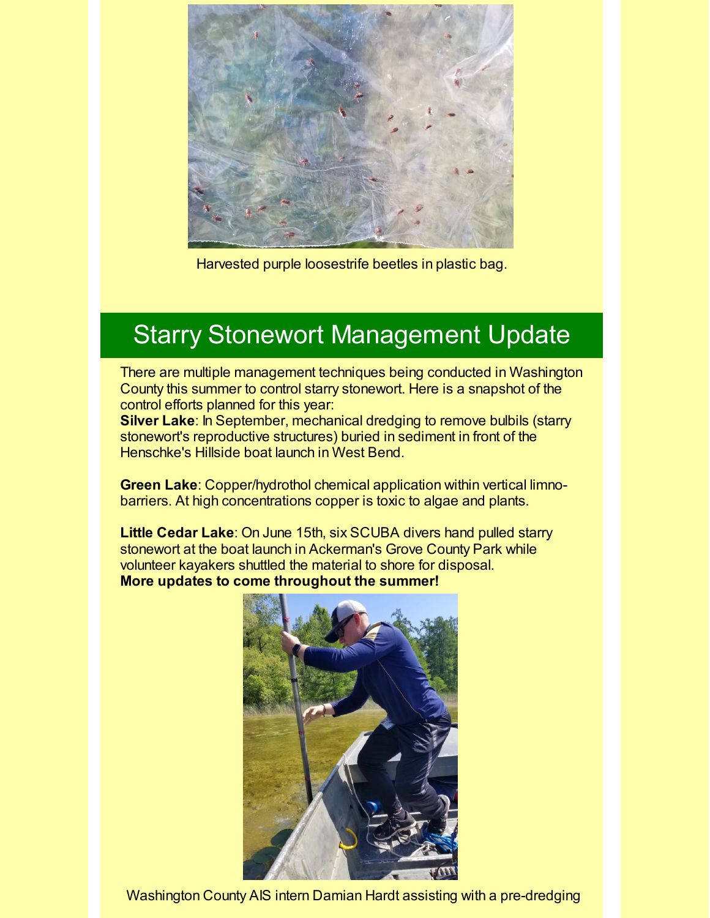

Harvested purple loosestrife beetles in plastic bag.

## Starry Stonewort Management Update

There are multiple management techniques being conducted in Washington County this summer to control starry stonewort. Here is a snapshot of the control efforts planned for this year:

**Silver Lake**: In September, mechanical dredging to remove bulbils (starry stonewort's reproductive structures) buried in sediment in front of the Henschke's Hillside boat launch in West Bend.

**Green Lake**: Copper/hydrothol chemical application within vertical limnobarriers. At high concentrations copper is toxic to algae and plants.

**Little Cedar Lake**: On June 15th, six SCUBA divers hand pulled starry stonewort at the boat launch in Ackerman's Grove County Park while volunteer kayakers shuttled the material to shore for disposal. **More updates to come throughout the summer!**



Washington County AIS intern Damian Hardt assisting with a pre-dredging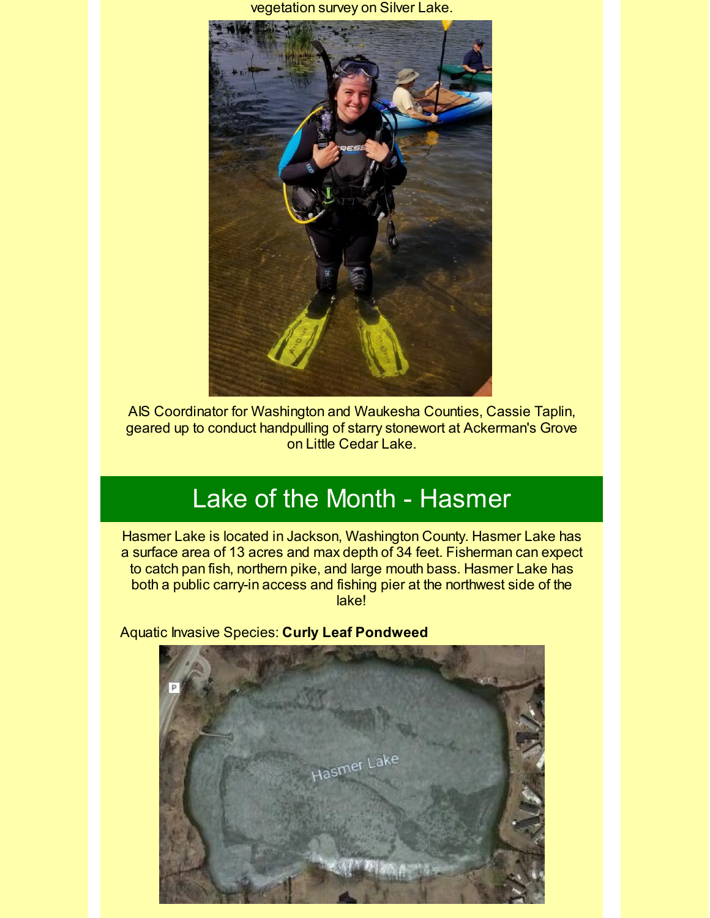vegetation survey on Silver Lake.



AIS Coordinator for Washington and Waukesha Counties, Cassie Taplin, geared up to conduct handpulling of starry stonewort at Ackerman's Grove on Little Cedar Lake.

## Lake of the Month - Hasmer

Hasmer Lake is located in Jackson, Washington County. Hasmer Lake has a surface area of 13 acres and max depth of 34 feet. Fisherman can expect to catch pan fish, northern pike, and large mouth bass. Hasmer Lake has both a public carry-in access and fishing pier at the northwest side of the lake!

Aquatic Invasive Species: **Curly Leaf Pondweed**